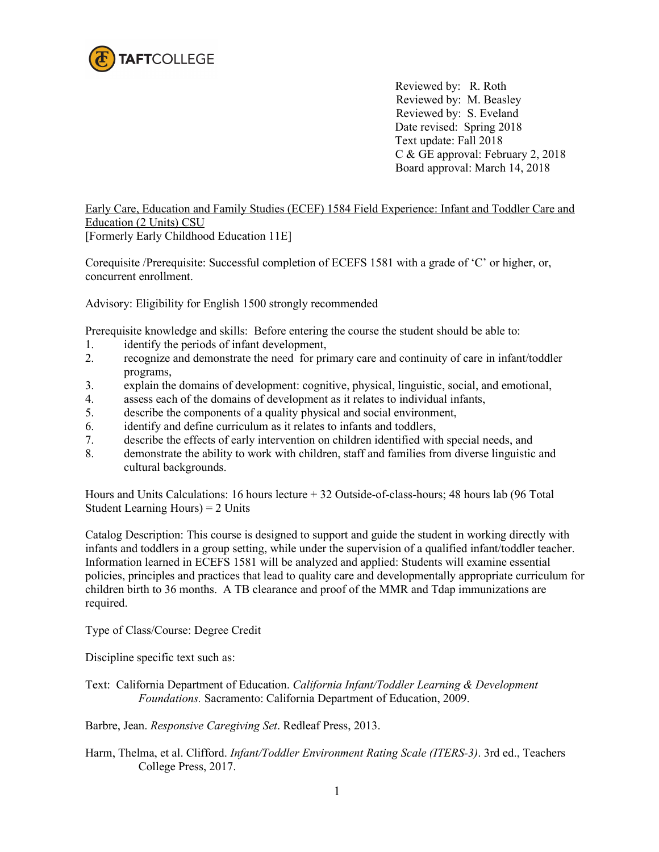

 Reviewed by: R. Roth Reviewed by: M. Beasley Reviewed by: S. Eveland Date revised: Spring 2018 Text update: Fall 2018 C & GE approval: February 2, 2018 Board approval: March 14, 2018

Early Care, Education and Family Studies (ECEF) 1584 Field Experience: Infant and Toddler Care and Education (2 Units) CSU [Formerly Early Childhood Education 11E]

Corequisite /Prerequisite: Successful completion of ECEFS 1581 with a grade of 'C' or higher, or, concurrent enrollment.

Advisory: Eligibility for English 1500 strongly recommended

Prerequisite knowledge and skills: Before entering the course the student should be able to:

- 1. identify the periods of infant development,
- 2. recognize and demonstrate the need for primary care and continuity of care in infant/toddler programs,
- 3. explain the domains of development: cognitive, physical, linguistic, social, and emotional,
- 4. assess each of the domains of development as it relates to individual infants,
- 5. describe the components of a quality physical and social environment,
- 6. identify and define curriculum as it relates to infants and toddlers,
- 7. describe the effects of early intervention on children identified with special needs, and
- 8. demonstrate the ability to work with children, staff and families from diverse linguistic and cultural backgrounds.

Hours and Units Calculations: 16 hours lecture + 32 Outside-of-class-hours; 48 hours lab (96 Total Student Learning Hours) = 2 Units

Catalog Description: This course is designed to support and guide the student in working directly with infants and toddlers in a group setting, while under the supervision of a qualified infant/toddler teacher. Information learned in ECEFS 1581 will be analyzed and applied: Students will examine essential policies, principles and practices that lead to quality care and developmentally appropriate curriculum for children birth to 36 months. A TB clearance and proof of the MMR and Tdap immunizations are required.

Type of Class/Course: Degree Credit

Discipline specific text such as:

Text: California Department of Education. *California Infant/Toddler Learning & Development Foundations.* Sacramento: California Department of Education, 2009.

Barbre, Jean. *Responsive Caregiving Set*. Redleaf Press, 2013.

Harm, Thelma, et al. Clifford. *Infant/Toddler Environment Rating Scale (ITERS-3)*. 3rd ed., Teachers College Press, 2017.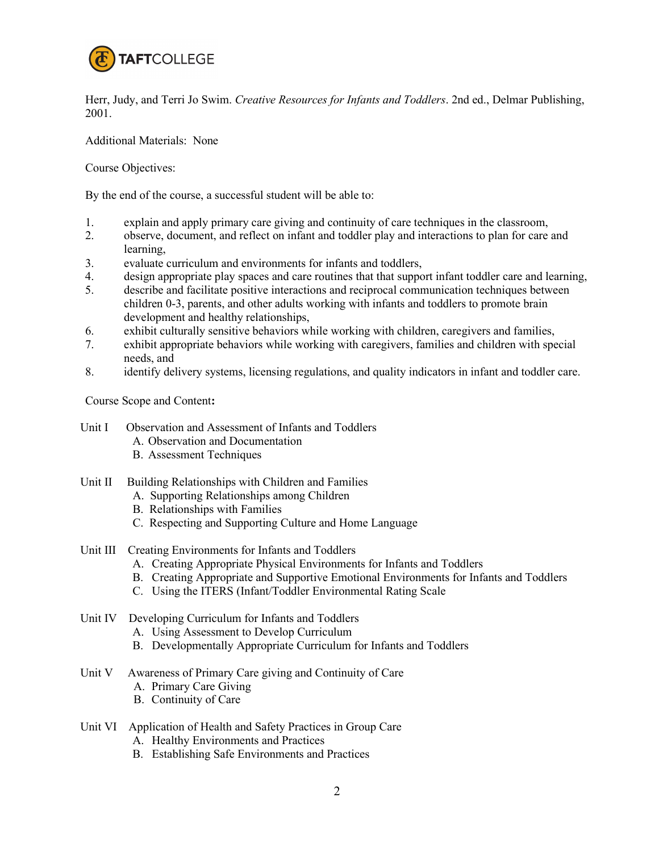

Herr, Judy, and Terri Jo Swim. *Creative Resources for Infants and Toddlers*. 2nd ed., Delmar Publishing, 2001.

Additional Materials: None

Course Objectives:

By the end of the course, a successful student will be able to:

- 1. explain and apply primary care giving and continuity of care techniques in the classroom,
- 2. observe, document, and reflect on infant and toddler play and interactions to plan for care and learning,
- 3. evaluate curriculum and environments for infants and toddlers,
- 4. design appropriate play spaces and care routines that that support infant toddler care and learning,
- 5. describe and facilitate positive interactions and reciprocal communication techniques between children 0-3, parents, and other adults working with infants and toddlers to promote brain development and healthy relationships,
- 6. exhibit culturally sensitive behaviors while working with children, caregivers and families,
- 7. exhibit appropriate behaviors while working with caregivers, families and children with special needs, and
- 8. identify delivery systems, licensing regulations, and quality indicators in infant and toddler care.

Course Scope and Content**:**

- Unit I Observation and Assessment of Infants and Toddlers
	- A. Observation and Documentation
	- B. Assessment Techniques
- Unit II Building Relationships with Children and Families
	- A. Supporting Relationships among Children
	- B. Relationships with Families
	- C. Respecting and Supporting Culture and Home Language
- Unit III Creating Environments for Infants and Toddlers
	- A. Creating Appropriate Physical Environments for Infants and Toddlers
	- B. Creating Appropriate and Supportive Emotional Environments for Infants and Toddlers
	- C. Using the ITERS (Infant/Toddler Environmental Rating Scale
- Unit IV Developing Curriculum for Infants and Toddlers
	- A. Using Assessment to Develop Curriculum
	- B. Developmentally Appropriate Curriculum for Infants and Toddlers
- Unit V Awareness of Primary Care giving and Continuity of Care
	- A. Primary Care Giving
	- B. Continuity of Care
- Unit VI Application of Health and Safety Practices in Group Care
	- A. Healthy Environments and Practices
	- B. Establishing Safe Environments and Practices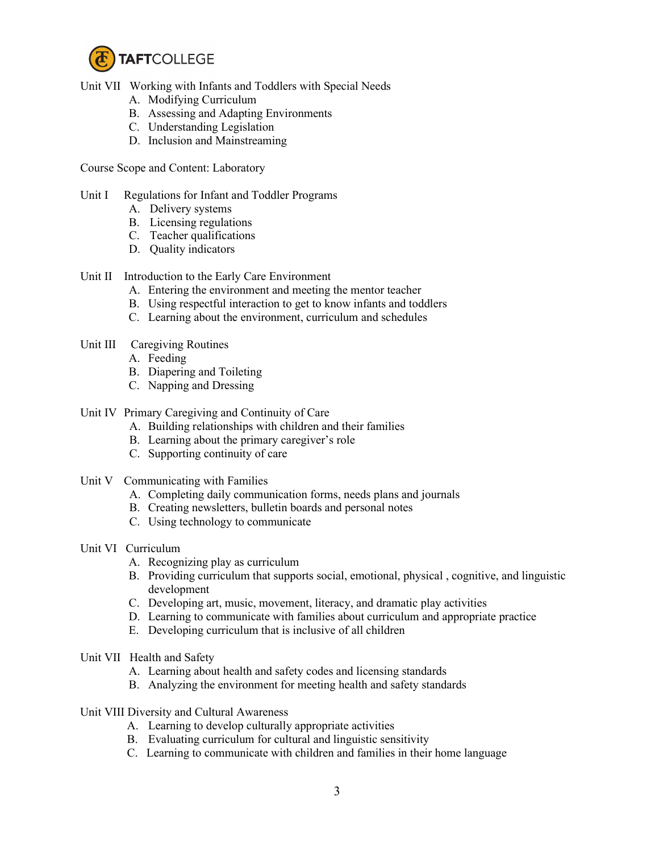

Unit VII Working with Infants and Toddlers with Special Needs

- A. Modifying Curriculum
- B. Assessing and Adapting Environments
- C. Understanding Legislation
- D. Inclusion and Mainstreaming

Course Scope and Content: Laboratory

## Unit I Regulations for Infant and Toddler Programs

- A. Delivery systems
- B. Licensing regulations
- C. Teacher qualifications
- D. Quality indicators

## Unit II Introduction to the Early Care Environment

- A. Entering the environment and meeting the mentor teacher
- B. Using respectful interaction to get to know infants and toddlers
- C. Learning about the environment, curriculum and schedules
- Unit III Caregiving Routines
	- A. Feeding
	- B. Diapering and Toileting
	- C. Napping and Dressing
- Unit IV Primary Caregiving and Continuity of Care
	- A. Building relationships with children and their families
	- B. Learning about the primary caregiver's role
	- C. Supporting continuity of care
- Unit V Communicating with Families
	- A. Completing daily communication forms, needs plans and journals
	- B. Creating newsletters, bulletin boards and personal notes
	- C. Using technology to communicate
- Unit VI Curriculum
	- A. Recognizing play as curriculum
	- B. Providing curriculum that supports social, emotional, physical , cognitive, and linguistic development
	- C. Developing art, music, movement, literacy, and dramatic play activities
	- D. Learning to communicate with families about curriculum and appropriate practice
	- E. Developing curriculum that is inclusive of all children
- Unit VII Health and Safety
	- A. Learning about health and safety codes and licensing standards
	- B. Analyzing the environment for meeting health and safety standards
- Unit VIII Diversity and Cultural Awareness
	- A. Learning to develop culturally appropriate activities
	- B. Evaluating curriculum for cultural and linguistic sensitivity
	- C. Learning to communicate with children and families in their home language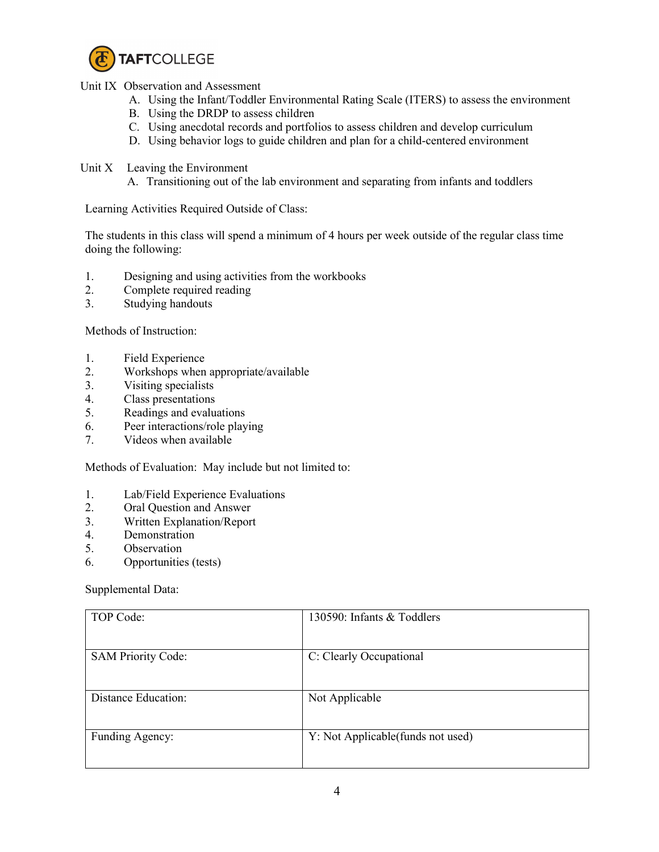

Unit IX Observation and Assessment

- A. Using the Infant/Toddler Environmental Rating Scale (ITERS) to assess the environment
- B. Using the DRDP to assess children
- C. Using anecdotal records and portfolios to assess children and develop curriculum
- D. Using behavior logs to guide children and plan for a child-centered environment
- Unit X Leaving the Environment
	- A. Transitioning out of the lab environment and separating from infants and toddlers

Learning Activities Required Outside of Class:

The students in this class will spend a minimum of 4 hours per week outside of the regular class time doing the following:

- 1. Designing and using activities from the workbooks
- 2. Complete required reading
- 3. Studying handouts

Methods of Instruction:

- 1. Field Experience
- 2. Workshops when appropriate/available<br>3. Visiting specialists
- Visiting specialists
- 4. Class presentations
- 5. Readings and evaluations
- 6. Peer interactions/role playing
- 7. Videos when available

Methods of Evaluation: May include but not limited to:

- 1. Lab/Field Experience Evaluations
- 2. Oral Question and Answer
- 3. Written Explanation/Report
- 4. Demonstration
- 5. Observation
- 6. Opportunities (tests)

Supplemental Data:

| TOP Code:                  | 130590: Infants & Toddlers         |
|----------------------------|------------------------------------|
| <b>SAM Priority Code:</b>  | C: Clearly Occupational            |
| <b>Distance Education:</b> | Not Applicable                     |
| Funding Agency:            | Y: Not Applicable (funds not used) |